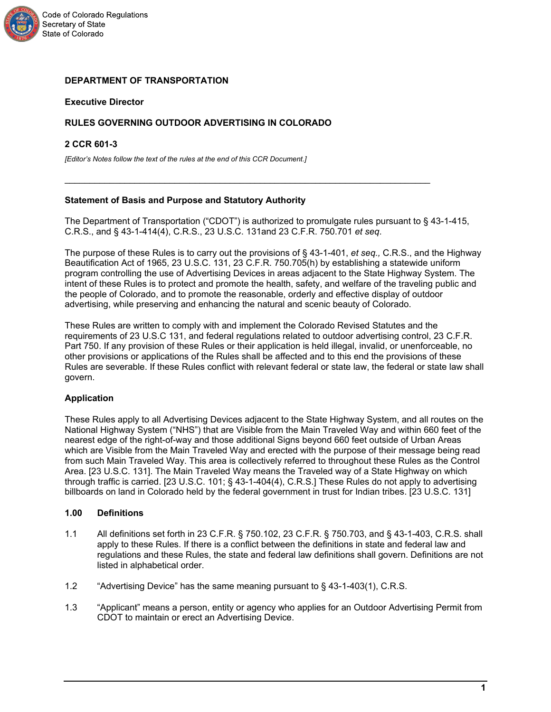

# **DEPARTMENT OF TRANSPORTATION**

## **Executive Director**

# **RULES GOVERNING OUTDOOR ADVERTISING IN COLORADO**

## **2 CCR 601-3**

*[Editor's Notes follow the text of the rules at the end of this CCR Document.]*

# **Statement of Basis and Purpose and Statutory Authority**

The Department of Transportation ("CDOT") is authorized to promulgate rules pursuant to § 43-1-415, C.R.S., and § 43-1-414(4), C.R.S., 23 U.S.C. 131and 23 C.F.R. 750.701 *et seq*.

\_\_\_\_\_\_\_\_\_\_\_\_\_\_\_\_\_\_\_\_\_\_\_\_\_\_\_\_\_\_\_\_\_\_\_\_\_\_\_\_\_\_\_\_\_\_\_\_\_\_\_\_\_\_\_\_\_\_\_\_\_\_\_\_\_\_\_\_\_\_\_\_\_

The purpose of these Rules is to carry out the provisions of § 43-1-401, *et seq.,* C.R.S., and the Highway Beautification Act of 1965, 23 U.S.C. 131, 23 C.F.R. 750.705(h) by establishing a statewide uniform program controlling the use of Advertising Devices in areas adjacent to the State Highway System. The intent of these Rules is to protect and promote the health, safety, and welfare of the traveling public and the people of Colorado, and to promote the reasonable, orderly and effective display of outdoor advertising, while preserving and enhancing the natural and scenic beauty of Colorado.

These Rules are written to comply with and implement the Colorado Revised Statutes and the requirements of 23 U.S.C 131, and federal regulations related to outdoor advertising control, 23 C.F.R. Part 750. If any provision of these Rules or their application is held illegal, invalid, or unenforceable, no other provisions or applications of the Rules shall be affected and to this end the provisions of these Rules are severable. If these Rules conflict with relevant federal or state law, the federal or state law shall govern.

# **Application**

These Rules apply to all Advertising Devices adjacent to the State Highway System, and all routes on the National Highway System ("NHS") that are Visible from the Main Traveled Way and within 660 feet of the nearest edge of the right-of-way and those additional Signs beyond 660 feet outside of Urban Areas which are Visible from the Main Traveled Way and erected with the purpose of their message being read from such Main Traveled Way. This area is collectively referred to throughout these Rules as the Control Area. [23 U.S.C. 131]. The Main Traveled Way means the Traveled way of a State Highway on which through traffic is carried. [23 U.S.C. 101; § 43-1-404(4), C.R.S.] These Rules do not apply to advertising billboards on land in Colorado held by the federal government in trust for Indian tribes. [23 U.S.C. 131]

## **1.00 Definitions**

- 1.1 All definitions set forth in 23 C.F.R. § 750.102, 23 C.F.R. § 750.703, and § 43-1-403, C.R.S. shall apply to these Rules. If there is a conflict between the definitions in state and federal law and regulations and these Rules, the state and federal law definitions shall govern. Definitions are not listed in alphabetical order.
- 1.2 "Advertising Device" has the same meaning pursuant to § 43-1-403(1), C.R.S.
- 1.3 "Applicant" means a person, entity or agency who applies for an Outdoor Advertising Permit from CDOT to maintain or erect an Advertising Device.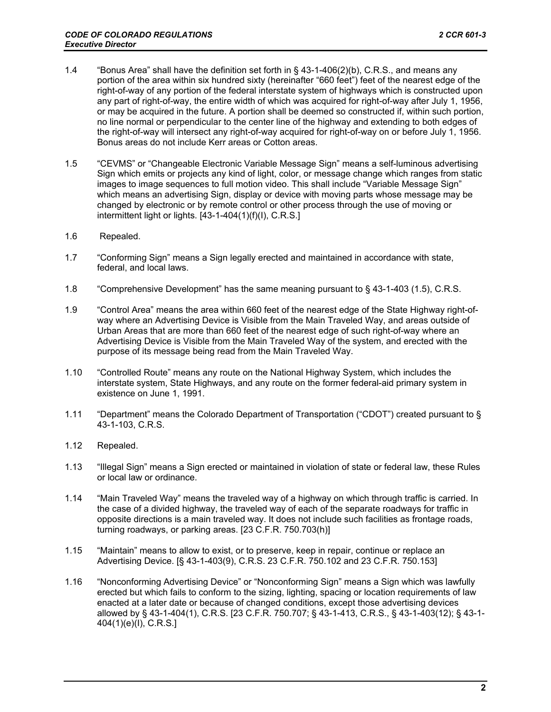- 1.4 "Bonus Area" shall have the definition set forth in § 43-1-406(2)(b), C.R.S., and means any portion of the area within six hundred sixty (hereinafter "660 feet") feet of the nearest edge of the right-of-way of any portion of the federal interstate system of highways which is constructed upon any part of right-of-way, the entire width of which was acquired for right-of-way after July 1, 1956, or may be acquired in the future. A portion shall be deemed so constructed if, within such portion, no line normal or perpendicular to the center line of the highway and extending to both edges of the right-of-way will intersect any right-of-way acquired for right-of-way on or before July 1, 1956. Bonus areas do not include Kerr areas or Cotton areas.
- 1.5 "CEVMS" or "Changeable Electronic Variable Message Sign" means a self-luminous advertising Sign which emits or projects any kind of light, color, or message change which ranges from static images to image sequences to full motion video. This shall include "Variable Message Sign" which means an advertising Sign, display or device with moving parts whose message may be changed by electronic or by remote control or other process through the use of moving or intermittent light or lights. [43-1-404(1)(f)(I), C.R.S.]
- 1.6 Repealed.
- 1.7 "Conforming Sign" means a Sign legally erected and maintained in accordance with state, federal, and local laws.
- 1.8 "Comprehensive Development" has the same meaning pursuant to § 43-1-403 (1.5), C.R.S.
- 1.9 "Control Area" means the area within 660 feet of the nearest edge of the State Highway right-ofway where an Advertising Device is Visible from the Main Traveled Way, and areas outside of Urban Areas that are more than 660 feet of the nearest edge of such right-of-way where an Advertising Device is Visible from the Main Traveled Way of the system, and erected with the purpose of its message being read from the Main Traveled Way.
- 1.10 "Controlled Route" means any route on the National Highway System, which includes the interstate system, State Highways, and any route on the former federal-aid primary system in existence on June 1, 1991.
- 1.11 "Department" means the Colorado Department of Transportation ("CDOT") created pursuant to § 43-1-103, C.R.S.
- 1.12 Repealed.
- 1.13 "Illegal Sign" means a Sign erected or maintained in violation of state or federal law, these Rules or local law or ordinance.
- 1.14 "Main Traveled Way" means the traveled way of a highway on which through traffic is carried. In the case of a divided highway, the traveled way of each of the separate roadways for traffic in opposite directions is a main traveled way. It does not include such facilities as frontage roads, turning roadways, or parking areas. [23 C.F.R. 750.703(h)]
- 1.15 "Maintain" means to allow to exist, or to preserve, keep in repair, continue or replace an Advertising Device. [§ 43-1-403(9), C.R.S. 23 C.F.R. 750.102 and 23 C.F.R. 750.153]
- 1.16 "Nonconforming Advertising Device" or "Nonconforming Sign" means a Sign which was lawfully erected but which fails to conform to the sizing, lighting, spacing or location requirements of law enacted at a later date or because of changed conditions, except those advertising devices allowed by § 43-1-404(1), C.R.S. [23 C.F.R. 750.707; § 43-1-413, C.R.S., § 43-1-403(12); § 43-1- 404(1)(e)(I), C.R.S.]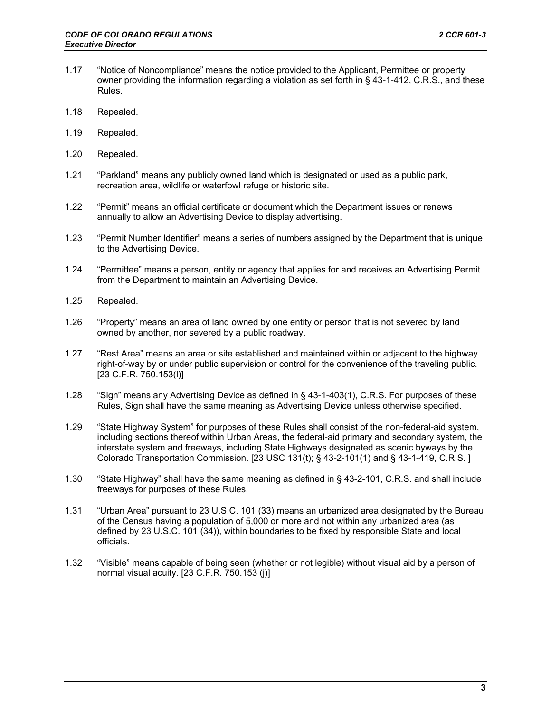- 1.17 "Notice of Noncompliance" means the notice provided to the Applicant, Permittee or property owner providing the information regarding a violation as set forth in § 43-1-412, C.R.S., and these Rules.
- 1.18 Repealed.
- 1.19 Repealed.
- 1.20 Repealed.
- 1.21 "Parkland" means any publicly owned land which is designated or used as a public park, recreation area, wildlife or waterfowl refuge or historic site.
- 1.22 "Permit" means an official certificate or document which the Department issues or renews annually to allow an Advertising Device to display advertising.
- 1.23 "Permit Number Identifier" means a series of numbers assigned by the Department that is unique to the Advertising Device.
- 1.24 "Permittee" means a person, entity or agency that applies for and receives an Advertising Permit from the Department to maintain an Advertising Device.
- 1.25 Repealed.
- 1.26 "Property" means an area of land owned by one entity or person that is not severed by land owned by another, nor severed by a public roadway.
- 1.27 "Rest Area" means an area or site established and maintained within or adjacent to the highway right-of-way by or under public supervision or control for the convenience of the traveling public. [23 C.F.R. 750.153(l)]
- 1.28 "Sign" means any Advertising Device as defined in § 43-1-403(1), C.R.S. For purposes of these Rules, Sign shall have the same meaning as Advertising Device unless otherwise specified.
- 1.29 "State Highway System" for purposes of these Rules shall consist of the non-federal-aid system, including sections thereof within Urban Areas, the federal-aid primary and secondary system, the interstate system and freeways, including State Highways designated as scenic byways by the Colorado Transportation Commission. [23 USC 131(t); § 43-2-101(1) and § 43-1-419, C.R.S. ]
- 1.30 "State Highway" shall have the same meaning as defined in § 43-2-101, C.R.S. and shall include freeways for purposes of these Rules.
- 1.31 "Urban Area" pursuant to 23 U.S.C. 101 (33) means an urbanized area designated by the Bureau of the Census having a population of 5,000 or more and not within any urbanized area (as defined by 23 U.S.C. 101 (34)), within boundaries to be fixed by responsible State and local officials.
- 1.32 "Visible" means capable of being seen (whether or not legible) without visual aid by a person of normal visual acuity. [23 C.F.R. 750.153 (j)]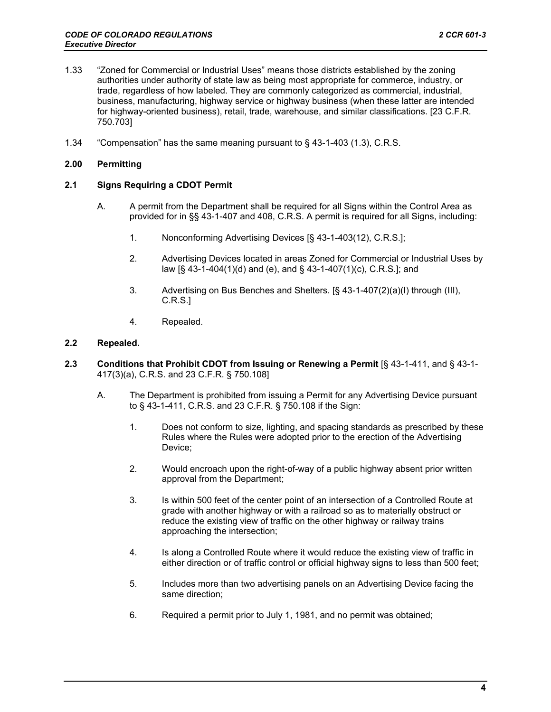- 1.33 "Zoned for Commercial or Industrial Uses" means those districts established by the zoning authorities under authority of state law as being most appropriate for commerce, industry, or trade, regardless of how labeled. They are commonly categorized as commercial, industrial, business, manufacturing, highway service or highway business (when these latter are intended for highway-oriented business), retail, trade, warehouse, and similar classifications. [23 C.F.R. 750.703]
- 1.34 "Compensation" has the same meaning pursuant to § 43-1-403 (1.3), C.R.S.

# **2.00 Permitting**

# **2.1 Signs Requiring a CDOT Permit**

- A. A permit from the Department shall be required for all Signs within the Control Area as provided for in §§ 43-1-407 and 408, C.R.S. A permit is required for all Signs, including:
	- 1. Nonconforming Advertising Devices [§ 43-1-403(12), C.R.S.];
	- 2. Advertising Devices located in areas Zoned for Commercial or Industrial Uses by law [§ 43-1-404(1)(d) and (e), and § 43-1-407(1)(c), C.R.S.]; and
	- 3. Advertising on Bus Benches and Shelters. [§ 43-1-407(2)(a)(I) through (III), C.R.S.]
	- 4. Repealed.

## **2.2 Repealed.**

- **2.3 Conditions that Prohibit CDOT from Issuing or Renewing a Permit** [§ 43-1-411, and § 43-1- 417(3)(a), C.R.S. and 23 C.F.R. § 750.108]
	- A. The Department is prohibited from issuing a Permit for any Advertising Device pursuant to § 43-1-411, C.R.S. and 23 C.F.R. § 750.108 if the Sign:
		- 1. Does not conform to size, lighting, and spacing standards as prescribed by these Rules where the Rules were adopted prior to the erection of the Advertising Device;
		- 2. Would encroach upon the right-of-way of a public highway absent prior written approval from the Department;
		- 3. Is within 500 feet of the center point of an intersection of a Controlled Route at grade with another highway or with a railroad so as to materially obstruct or reduce the existing view of traffic on the other highway or railway trains approaching the intersection;
		- 4. Is along a Controlled Route where it would reduce the existing view of traffic in either direction or of traffic control or official highway signs to less than 500 feet;
		- 5. Includes more than two advertising panels on an Advertising Device facing the same direction;
		- 6. Required a permit prior to July 1, 1981, and no permit was obtained;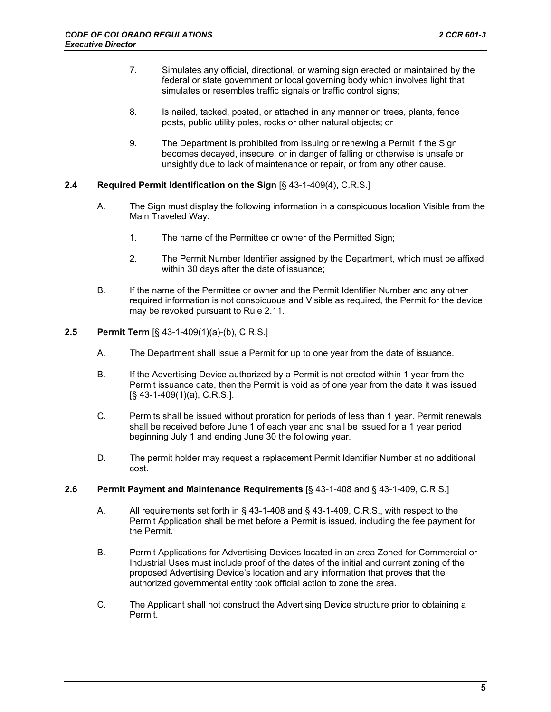- 7. Simulates any official, directional, or warning sign erected or maintained by the federal or state government or local governing body which involves light that simulates or resembles traffic signals or traffic control signs;
- 8. Is nailed, tacked, posted, or attached in any manner on trees, plants, fence posts, public utility poles, rocks or other natural objects; or
- 9. The Department is prohibited from issuing or renewing a Permit if the Sign becomes decayed, insecure, or in danger of falling or otherwise is unsafe or unsightly due to lack of maintenance or repair, or from any other cause.

# **2.4 Required Permit Identification on the Sign** [§ 43-1-409(4), C.R.S.]

- A. The Sign must display the following information in a conspicuous location Visible from the Main Traveled Way:
	- 1. The name of the Permittee or owner of the Permitted Sign;
	- 2. The Permit Number Identifier assigned by the Department, which must be affixed within 30 days after the date of issuance;
- B. If the name of the Permittee or owner and the Permit Identifier Number and any other required information is not conspicuous and Visible as required, the Permit for the device may be revoked pursuant to Rule 2.11.

# **2.5 Permit Term** [§ 43-1-409(1)(a)-(b), C.R.S.]

- A. The Department shall issue a Permit for up to one year from the date of issuance.
- B. If the Advertising Device authorized by a Permit is not erected within 1 year from the Permit issuance date, then the Permit is void as of one year from the date it was issued [§ 43-1-409(1)(a), C.R.S.].
- C. Permits shall be issued without proration for periods of less than 1 year. Permit renewals shall be received before June 1 of each year and shall be issued for a 1 year period beginning July 1 and ending June 30 the following year.
- D. The permit holder may request a replacement Permit Identifier Number at no additional cost.
- **2.6 Permit Payment and Maintenance Requirements** [§ 43-1-408 and § 43-1-409, C.R.S.]
	- A. All requirements set forth in § 43-1-408 and § 43-1-409, C.R.S., with respect to the Permit Application shall be met before a Permit is issued, including the fee payment for the Permit.
	- B. Permit Applications for Advertising Devices located in an area Zoned for Commercial or Industrial Uses must include proof of the dates of the initial and current zoning of the proposed Advertising Device's location and any information that proves that the authorized governmental entity took official action to zone the area.
	- C. The Applicant shall not construct the Advertising Device structure prior to obtaining a Permit.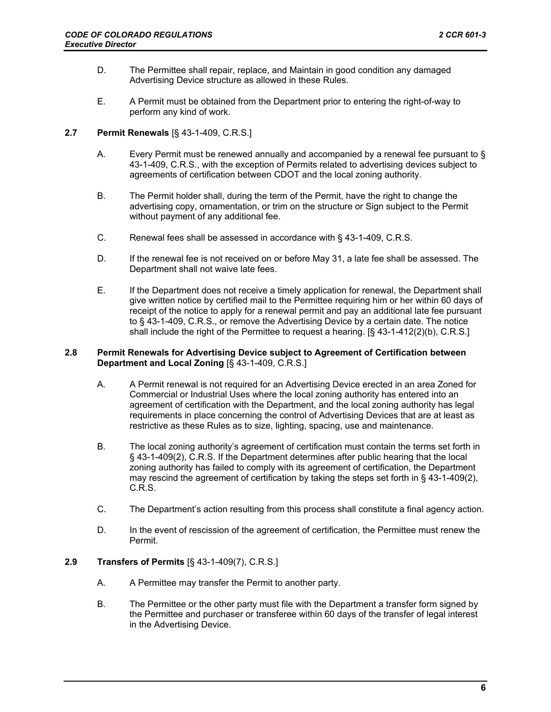- D. The Permittee shall repair, replace, and Maintain in good condition any damaged Advertising Device structure as allowed in these Rules.
- E. A Permit must be obtained from the Department prior to entering the right-of-way to perform any kind of work.

# **2.7 Permit Renewals** [§ 43-1-409, C.R.S.]

- A. Every Permit must be renewed annually and accompanied by a renewal fee pursuant to § 43-1-409, C.R.S., with the exception of Permits related to advertising devices subject to agreements of certification between CDOT and the local zoning authority.
- B. The Permit holder shall, during the term of the Permit, have the right to change the advertising copy, ornamentation, or trim on the structure or Sign subject to the Permit without payment of any additional fee.
- C. Renewal fees shall be assessed in accordance with § 43-1-409, C.R.S.
- D. If the renewal fee is not received on or before May 31, a late fee shall be assessed. The Department shall not waive late fees.
- E. If the Department does not receive a timely application for renewal, the Department shall give written notice by certified mail to the Permittee requiring him or her within 60 days of receipt of the notice to apply for a renewal permit and pay an additional late fee pursuant to § 43-1-409, C.R.S., or remove the Advertising Device by a certain date. The notice shall include the right of the Permittee to request a hearing. [§ 43-1-412(2)(b), C.R.S.]

### **2.8 Permit Renewals for Advertising Device subject to Agreement of Certification between Department and Local Zoning** [§ 43-1-409, C.R.S.]

- A. A Permit renewal is not required for an Advertising Device erected in an area Zoned for Commercial or Industrial Uses where the local zoning authority has entered into an agreement of certification with the Department, and the local zoning authority has legal requirements in place concerning the control of Advertising Devices that are at least as restrictive as these Rules as to size, lighting, spacing, use and maintenance.
- B. The local zoning authority's agreement of certification must contain the terms set forth in § 43-1-409(2), C.R.S. If the Department determines after public hearing that the local zoning authority has failed to comply with its agreement of certification, the Department may rescind the agreement of certification by taking the steps set forth in  $\S$  43-1-409(2), C.R.S.
- C. The Department's action resulting from this process shall constitute a final agency action.
- D. In the event of rescission of the agreement of certification, the Permittee must renew the Permit.

# **2.9 Transfers of Permits** [§ 43-1-409(7), C.R.S.]

- A. A Permittee may transfer the Permit to another party.
- B. The Permittee or the other party must file with the Department a transfer form signed by the Permittee and purchaser or transferee within 60 days of the transfer of legal interest in the Advertising Device.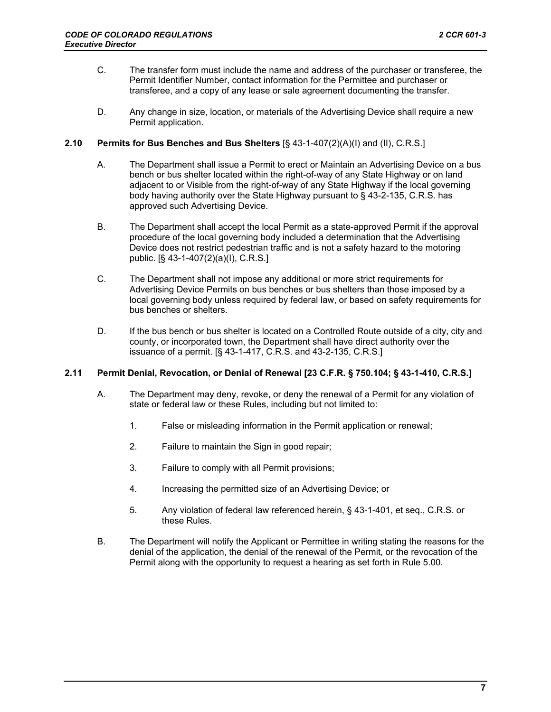- C. The transfer form must include the name and address of the purchaser or transferee, the Permit Identifier Number, contact information for the Permittee and purchaser or transferee, and a copy of any lease or sale agreement documenting the transfer.
- D. Any change in size, location, or materials of the Advertising Device shall require a new Permit application.

# **2.10 Permits for Bus Benches and Bus Shelters** [§ 43-1-407(2)(A)(I) and (II), C.R.S.]

- A. The Department shall issue a Permit to erect or Maintain an Advertising Device on a bus bench or bus shelter located within the right-of-way of any State Highway or on land adjacent to or Visible from the right-of-way of any State Highway if the local governing body having authority over the State Highway pursuant to § 43-2-135, C.R.S. has approved such Advertising Device.
- B. The Department shall accept the local Permit as a state-approved Permit if the approval procedure of the local governing body included a determination that the Advertising Device does not restrict pedestrian traffic and is not a safety hazard to the motoring public. [§ 43-1-407(2)(a)(I), C.R.S.]
- C. The Department shall not impose any additional or more strict requirements for Advertising Device Permits on bus benches or bus shelters than those imposed by a local governing body unless required by federal law, or based on safety requirements for bus benches or shelters.
- D. If the bus bench or bus shelter is located on a Controlled Route outside of a city, city and county, or incorporated town, the Department shall have direct authority over the issuance of a permit. [§ 43-1-417, C.R.S. and 43-2-135, C.R.S.]

## **2.11 Permit Denial, Revocation, or Denial of Renewal [23 C.F.R. § 750.104; § 43-1-410, C.R.S.]**

- A. The Department may deny, revoke, or deny the renewal of a Permit for any violation of state or federal law or these Rules, including but not limited to:
	- 1. False or misleading information in the Permit application or renewal;
	- 2. Failure to maintain the Sign in good repair;
	- 3. Failure to comply with all Permit provisions;
	- 4. Increasing the permitted size of an Advertising Device; or
	- 5. Any violation of federal law referenced herein, § 43-1-401, et seq., C.R.S. or these Rules.
- B. The Department will notify the Applicant or Permittee in writing stating the reasons for the denial of the application, the denial of the renewal of the Permit, or the revocation of the Permit along with the opportunity to request a hearing as set forth in Rule 5.00.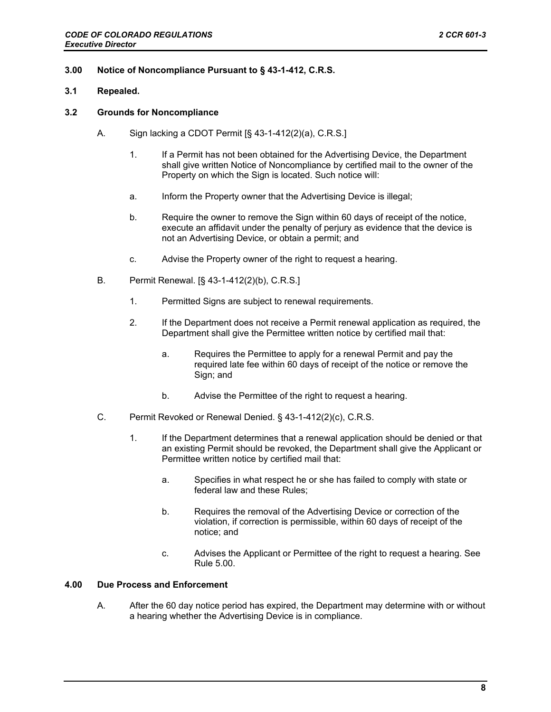# **3.00 Notice of Noncompliance Pursuant to § 43-1-412, C.R.S.**

## **3.1 Repealed.**

## **3.2 Grounds for Noncompliance**

- A. Sign lacking a CDOT Permit [§ 43-1-412(2)(a), C.R.S.]
	- 1. If a Permit has not been obtained for the Advertising Device, the Department shall give written Notice of Noncompliance by certified mail to the owner of the Property on which the Sign is located. Such notice will:
	- a. Inform the Property owner that the Advertising Device is illegal;
	- b. Require the owner to remove the Sign within 60 days of receipt of the notice, execute an affidavit under the penalty of perjury as evidence that the device is not an Advertising Device, or obtain a permit; and
	- c. Advise the Property owner of the right to request a hearing.
- B. Permit Renewal. [§ 43-1-412(2)(b), C.R.S.]
	- 1. Permitted Signs are subject to renewal requirements.
	- 2. If the Department does not receive a Permit renewal application as required, the Department shall give the Permittee written notice by certified mail that:
		- a. Requires the Permittee to apply for a renewal Permit and pay the required late fee within 60 days of receipt of the notice or remove the Sign; and
		- b. Advise the Permittee of the right to request a hearing.
- C. Permit Revoked or Renewal Denied. § 43-1-412(2)(c), C.R.S.
	- 1. If the Department determines that a renewal application should be denied or that an existing Permit should be revoked, the Department shall give the Applicant or Permittee written notice by certified mail that:
		- a. Specifies in what respect he or she has failed to comply with state or federal law and these Rules;
		- b. Requires the removal of the Advertising Device or correction of the violation, if correction is permissible, within 60 days of receipt of the notice; and
		- c. Advises the Applicant or Permittee of the right to request a hearing. See Rule 5.00.

# **4.00 Due Process and Enforcement**

A. After the 60 day notice period has expired, the Department may determine with or without a hearing whether the Advertising Device is in compliance.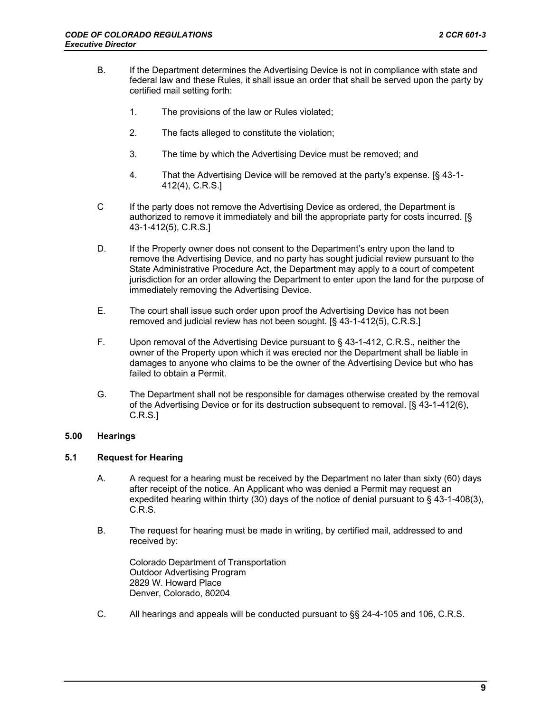- B. If the Department determines the Advertising Device is not in compliance with state and federal law and these Rules, it shall issue an order that shall be served upon the party by certified mail setting forth:
	- 1. The provisions of the law or Rules violated;
	- 2. The facts alleged to constitute the violation;
	- 3. The time by which the Advertising Device must be removed; and
	- 4. That the Advertising Device will be removed at the party's expense. [§ 43-1- 412(4), C.R.S.]
- C If the party does not remove the Advertising Device as ordered, the Department is authorized to remove it immediately and bill the appropriate party for costs incurred. [§ 43-1-412(5), C.R.S.]
- D. If the Property owner does not consent to the Department's entry upon the land to remove the Advertising Device, and no party has sought judicial review pursuant to the State Administrative Procedure Act, the Department may apply to a court of competent jurisdiction for an order allowing the Department to enter upon the land for the purpose of immediately removing the Advertising Device.
- E. The court shall issue such order upon proof the Advertising Device has not been removed and judicial review has not been sought. [§ 43-1-412(5), C.R.S.]
- F. Upon removal of the Advertising Device pursuant to § 43-1-412, C.R.S., neither the owner of the Property upon which it was erected nor the Department shall be liable in damages to anyone who claims to be the owner of the Advertising Device but who has failed to obtain a Permit.
- G. The Department shall not be responsible for damages otherwise created by the removal of the Advertising Device or for its destruction subsequent to removal. [§ 43-1-412(6), C.R.S.]

## **5.00 Hearings**

## **5.1 Request for Hearing**

- A. A request for a hearing must be received by the Department no later than sixty (60) days after receipt of the notice. An Applicant who was denied a Permit may request an expedited hearing within thirty (30) days of the notice of denial pursuant to § 43-1-408(3), C.R.S.
- B. The request for hearing must be made in writing, by certified mail, addressed to and received by:

Colorado Department of Transportation Outdoor Advertising Program 2829 W. Howard Place Denver, Colorado, 80204

C. All hearings and appeals will be conducted pursuant to §§ 24-4-105 and 106, C.R.S.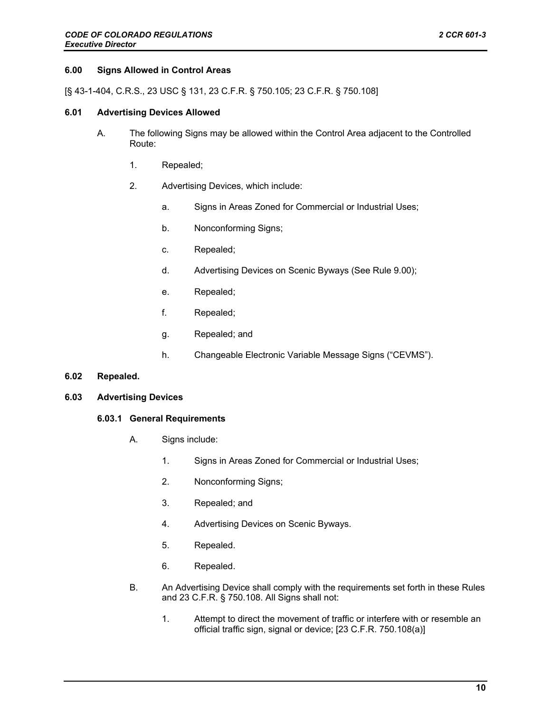## **6.00 Signs Allowed in Control Areas**

[§ 43-1-404, C.R.S., 23 USC § 131, 23 C.F.R. § 750.105; 23 C.F.R. § 750.108]

#### **6.01 Advertising Devices Allowed**

- A. The following Signs may be allowed within the Control Area adjacent to the Controlled Route:
	- 1. Repealed;
	- 2. Advertising Devices, which include:
		- a. Signs in Areas Zoned for Commercial or Industrial Uses;
		- b. Nonconforming Signs;
		- c. Repealed;
		- d. Advertising Devices on Scenic Byways (See Rule 9.00);
		- e. Repealed;
		- f. Repealed;
		- g. Repealed; and
		- h. Changeable Electronic Variable Message Signs ("CEVMS").
- **6.02 Repealed.**
- **6.03 Advertising Devices**

#### **6.03.1 General Requirements**

- A. Signs include:
	- 1. Signs in Areas Zoned for Commercial or Industrial Uses;
	- 2. Nonconforming Signs;
	- 3. Repealed; and
	- 4. Advertising Devices on Scenic Byways.
	- 5. Repealed.
	- 6. Repealed.
- B. An Advertising Device shall comply with the requirements set forth in these Rules and 23 C.F.R. § 750.108. All Signs shall not:
	- 1. Attempt to direct the movement of traffic or interfere with or resemble an official traffic sign, signal or device; [23 C.F.R. 750.108(a)]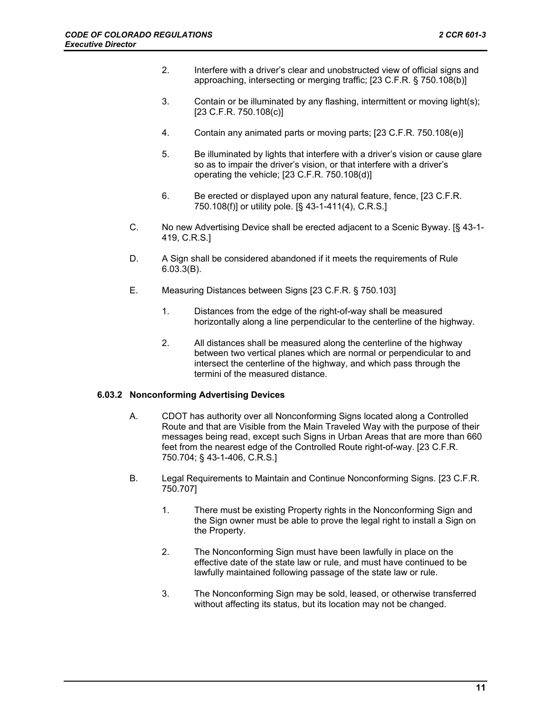- 2. Interfere with a driver's clear and unobstructed view of official signs and approaching, intersecting or merging traffic; [23 C.F.R. § 750.108(b)]
- 3. Contain or be illuminated by any flashing, intermittent or moving light(s); [23 C.F.R. 750.108(c)]
- 4. Contain any animated parts or moving parts; [23 C.F.R. 750.108(e)]
- 5. Be illuminated by lights that interfere with a driver's vision or cause glare so as to impair the driver's vision, or that interfere with a driver's operating the vehicle; [23 C.F.R. 750.108(d)]
- 6. Be erected or displayed upon any natural feature, fence, [23 C.F.R. 750.108(f)] or utility pole. [§ 43-1-411(4), C.R.S.]
- C. No new Advertising Device shall be erected adjacent to a Scenic Byway. [§ 43-1- 419, C.R.S.]
- D. A Sign shall be considered abandoned if it meets the requirements of Rule 6.03.3(B).
- E. Measuring Distances between Signs [23 C.F.R. § 750.103]
	- 1. Distances from the edge of the right-of-way shall be measured horizontally along a line perpendicular to the centerline of the highway.
	- 2. All distances shall be measured along the centerline of the highway between two vertical planes which are normal or perpendicular to and intersect the centerline of the highway, and which pass through the termini of the measured distance.

## **6.03.2 Nonconforming Advertising Devices**

- A. CDOT has authority over all Nonconforming Signs located along a Controlled Route and that are Visible from the Main Traveled Way with the purpose of their messages being read, except such Signs in Urban Areas that are more than 660 feet from the nearest edge of the Controlled Route right-of-way. [23 C.F.R. 750.704; § 43-1-406, C.R.S.]
- B. Legal Requirements to Maintain and Continue Nonconforming Signs. [23 C.F.R. 750.707]
	- 1. There must be existing Property rights in the Nonconforming Sign and the Sign owner must be able to prove the legal right to install a Sign on the Property.
	- 2. The Nonconforming Sign must have been lawfully in place on the effective date of the state law or rule, and must have continued to be lawfully maintained following passage of the state law or rule.
	- 3. The Nonconforming Sign may be sold, leased, or otherwise transferred without affecting its status, but its location may not be changed.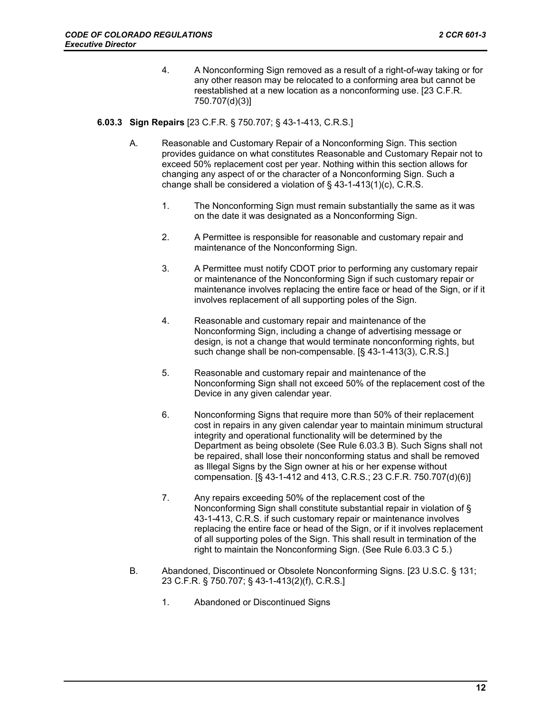4. A Nonconforming Sign removed as a result of a right-of-way taking or for any other reason may be relocated to a conforming area but cannot be reestablished at a new location as a nonconforming use. [23 C.F.R. 750.707(d)(3)]

# **6.03.3 Sign Repairs** [23 C.F.R. § 750.707; § 43-1-413, C.R.S.]

- A. Reasonable and Customary Repair of a Nonconforming Sign. This section provides guidance on what constitutes Reasonable and Customary Repair not to exceed 50% replacement cost per year. Nothing within this section allows for changing any aspect of or the character of a Nonconforming Sign. Such a change shall be considered a violation of § 43-1-413(1)(c), C.R.S.
	- 1. The Nonconforming Sign must remain substantially the same as it was on the date it was designated as a Nonconforming Sign.
	- 2. A Permittee is responsible for reasonable and customary repair and maintenance of the Nonconforming Sign.
	- 3. A Permittee must notify CDOT prior to performing any customary repair or maintenance of the Nonconforming Sign if such customary repair or maintenance involves replacing the entire face or head of the Sign, or if it involves replacement of all supporting poles of the Sign.
	- 4. Reasonable and customary repair and maintenance of the Nonconforming Sign, including a change of advertising message or design, is not a change that would terminate nonconforming rights, but such change shall be non-compensable. [§ 43-1-413(3), C.R.S.]
	- 5. Reasonable and customary repair and maintenance of the Nonconforming Sign shall not exceed 50% of the replacement cost of the Device in any given calendar year.
	- 6. Nonconforming Signs that require more than 50% of their replacement cost in repairs in any given calendar year to maintain minimum structural integrity and operational functionality will be determined by the Department as being obsolete (See Rule 6.03.3 B). Such Signs shall not be repaired, shall lose their nonconforming status and shall be removed as Illegal Signs by the Sign owner at his or her expense without compensation. [§ 43-1-412 and 413, C.R.S.; 23 C.F.R. 750.707(d)(6)]
	- 7. Any repairs exceeding 50% of the replacement cost of the Nonconforming Sign shall constitute substantial repair in violation of § 43-1-413, C.R.S. if such customary repair or maintenance involves replacing the entire face or head of the Sign, or if it involves replacement of all supporting poles of the Sign. This shall result in termination of the right to maintain the Nonconforming Sign. (See Rule 6.03.3 C 5.)
- B. Abandoned, Discontinued or Obsolete Nonconforming Signs. [23 U.S.C. § 131; 23 C.F.R. § 750.707; § 43-1-413(2)(f), C.R.S.]
	- 1. Abandoned or Discontinued Signs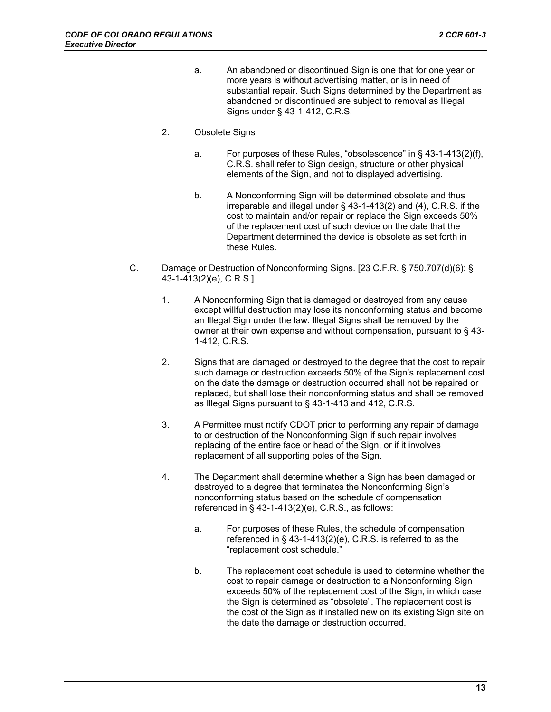a. An abandoned or discontinued Sign is one that for one year or more years is without advertising matter, or is in need of substantial repair. Such Signs determined by the Department as abandoned or discontinued are subject to removal as Illegal Signs under § 43-1-412, C.R.S.

# 2. Obsolete Signs

- a. For purposes of these Rules, "obsolescence" in § 43-1-413(2)(f), C.R.S. shall refer to Sign design, structure or other physical elements of the Sign, and not to displayed advertising.
- b. A Nonconforming Sign will be determined obsolete and thus irreparable and illegal under § 43-1-413(2) and (4), C.R.S. if the cost to maintain and/or repair or replace the Sign exceeds 50% of the replacement cost of such device on the date that the Department determined the device is obsolete as set forth in these Rules.
- C. Damage or Destruction of Nonconforming Signs. [23 C.F.R. § 750.707(d)(6); § 43-1-413(2)(e), C.R.S.]
	- 1. A Nonconforming Sign that is damaged or destroyed from any cause except willful destruction may lose its nonconforming status and become an Illegal Sign under the law. Illegal Signs shall be removed by the owner at their own expense and without compensation, pursuant to § 43- 1-412, C.R.S.
	- 2. Signs that are damaged or destroyed to the degree that the cost to repair such damage or destruction exceeds 50% of the Sign's replacement cost on the date the damage or destruction occurred shall not be repaired or replaced, but shall lose their nonconforming status and shall be removed as Illegal Signs pursuant to § 43-1-413 and 412, C.R.S.
	- 3. A Permittee must notify CDOT prior to performing any repair of damage to or destruction of the Nonconforming Sign if such repair involves replacing of the entire face or head of the Sign, or if it involves replacement of all supporting poles of the Sign.
	- 4. The Department shall determine whether a Sign has been damaged or destroyed to a degree that terminates the Nonconforming Sign's nonconforming status based on the schedule of compensation referenced in  $\S$  43-1-413(2)(e), C.R.S., as follows:
		- a. For purposes of these Rules, the schedule of compensation referenced in § 43-1-413(2)(e), C.R.S. is referred to as the "replacement cost schedule."
		- b. The replacement cost schedule is used to determine whether the cost to repair damage or destruction to a Nonconforming Sign exceeds 50% of the replacement cost of the Sign, in which case the Sign is determined as "obsolete". The replacement cost is the cost of the Sign as if installed new on its existing Sign site on the date the damage or destruction occurred.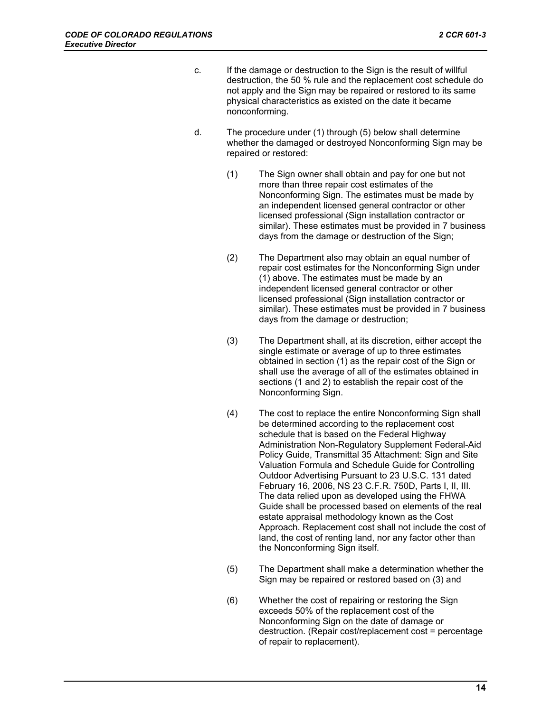- c. If the damage or destruction to the Sign is the result of willful destruction, the 50 % rule and the replacement cost schedule do not apply and the Sign may be repaired or restored to its same physical characteristics as existed on the date it became nonconforming.
- d. The procedure under (1) through (5) below shall determine whether the damaged or destroyed Nonconforming Sign may be repaired or restored:
	- (1) The Sign owner shall obtain and pay for one but not more than three repair cost estimates of the Nonconforming Sign. The estimates must be made by an independent licensed general contractor or other licensed professional (Sign installation contractor or similar). These estimates must be provided in 7 business days from the damage or destruction of the Sign;
	- (2) The Department also may obtain an equal number of repair cost estimates for the Nonconforming Sign under (1) above. The estimates must be made by an independent licensed general contractor or other licensed professional (Sign installation contractor or similar). These estimates must be provided in 7 business days from the damage or destruction;
	- (3) The Department shall, at its discretion, either accept the single estimate or average of up to three estimates obtained in section (1) as the repair cost of the Sign or shall use the average of all of the estimates obtained in sections (1 and 2) to establish the repair cost of the Nonconforming Sign.
	- (4) The cost to replace the entire Nonconforming Sign shall be determined according to the replacement cost schedule that is based on the Federal Highway Administration Non-Regulatory Supplement Federal-Aid Policy Guide, Transmittal 35 Attachment: Sign and Site Valuation Formula and Schedule Guide for Controlling Outdoor Advertising Pursuant to 23 U.S.C. 131 dated February 16, 2006, NS 23 C.F.R. 750D, Parts I, II, III. The data relied upon as developed using the FHWA Guide shall be processed based on elements of the real estate appraisal methodology known as the Cost Approach. Replacement cost shall not include the cost of land, the cost of renting land, nor any factor other than the Nonconforming Sign itself.
	- (5) The Department shall make a determination whether the Sign may be repaired or restored based on (3) and
	- (6) Whether the cost of repairing or restoring the Sign exceeds 50% of the replacement cost of the Nonconforming Sign on the date of damage or destruction. (Repair cost/replacement cost = percentage of repair to replacement).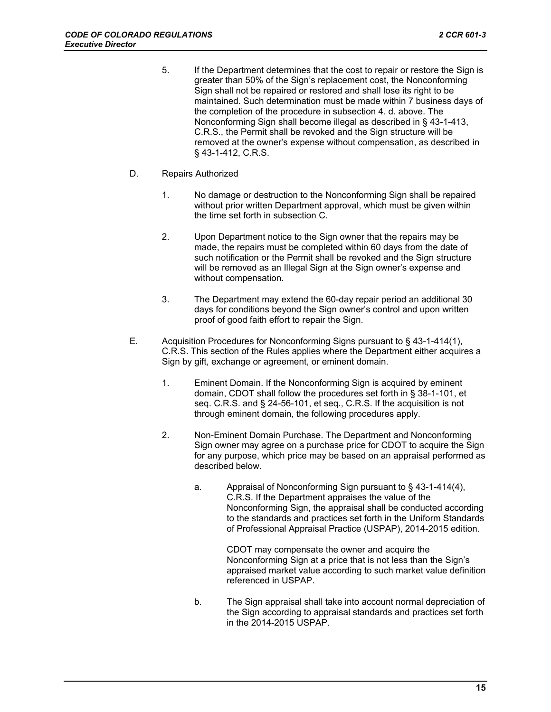5. If the Department determines that the cost to repair or restore the Sign is greater than 50% of the Sign's replacement cost, the Nonconforming Sign shall not be repaired or restored and shall lose its right to be maintained. Such determination must be made within 7 business days of the completion of the procedure in subsection 4. d. above. The Nonconforming Sign shall become illegal as described in § 43-1-413, C.R.S., the Permit shall be revoked and the Sign structure will be removed at the owner's expense without compensation, as described in § 43-1-412, C.R.S.

## D. Repairs Authorized

- 1. No damage or destruction to the Nonconforming Sign shall be repaired without prior written Department approval, which must be given within the time set forth in subsection C.
- 2. Upon Department notice to the Sign owner that the repairs may be made, the repairs must be completed within 60 days from the date of such notification or the Permit shall be revoked and the Sign structure will be removed as an Illegal Sign at the Sign owner's expense and without compensation.
- 3. The Department may extend the 60-day repair period an additional 30 days for conditions beyond the Sign owner's control and upon written proof of good faith effort to repair the Sign.
- E. Acquisition Procedures for Nonconforming Signs pursuant to § 43-1-414(1), C.R.S. This section of the Rules applies where the Department either acquires a Sign by gift, exchange or agreement, or eminent domain.
	- 1. Eminent Domain. If the Nonconforming Sign is acquired by eminent domain, CDOT shall follow the procedures set forth in § 38-1-101, et seq. C.R.S. and § 24-56-101, et seq., C.R.S. If the acquisition is not through eminent domain, the following procedures apply.
	- 2. Non-Eminent Domain Purchase. The Department and Nonconforming Sign owner may agree on a purchase price for CDOT to acquire the Sign for any purpose, which price may be based on an appraisal performed as described below.
		- a. Appraisal of Nonconforming Sign pursuant to § 43-1-414(4), C.R.S. If the Department appraises the value of the Nonconforming Sign, the appraisal shall be conducted according to the standards and practices set forth in the Uniform Standards of Professional Appraisal Practice (USPAP), 2014-2015 edition.

CDOT may compensate the owner and acquire the Nonconforming Sign at a price that is not less than the Sign's appraised market value according to such market value definition referenced in USPAP.

b. The Sign appraisal shall take into account normal depreciation of the Sign according to appraisal standards and practices set forth in the 2014-2015 USPAP.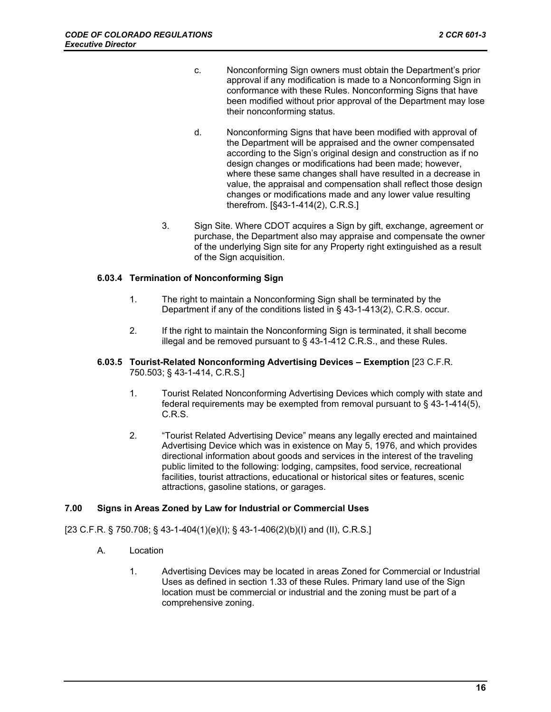- c. Nonconforming Sign owners must obtain the Department's prior approval if any modification is made to a Nonconforming Sign in conformance with these Rules. Nonconforming Signs that have been modified without prior approval of the Department may lose their nonconforming status.
- d. Nonconforming Signs that have been modified with approval of the Department will be appraised and the owner compensated according to the Sign's original design and construction as if no design changes or modifications had been made; however, where these same changes shall have resulted in a decrease in value, the appraisal and compensation shall reflect those design changes or modifications made and any lower value resulting therefrom. [§43-1-414(2), C.R.S.]
- 3. Sign Site. Where CDOT acquires a Sign by gift, exchange, agreement or purchase, the Department also may appraise and compensate the owner of the underlying Sign site for any Property right extinguished as a result of the Sign acquisition.

# **6.03.4 Termination of Nonconforming Sign**

- 1. The right to maintain a Nonconforming Sign shall be terminated by the Department if any of the conditions listed in § 43-1-413(2), C.R.S. occur.
- 2. If the right to maintain the Nonconforming Sign is terminated, it shall become illegal and be removed pursuant to § 43-1-412 C.R.S., and these Rules.

## **6.03.5 Tourist-Related Nonconforming Advertising Devices – Exemption** [23 C.F.R. 750.503; § 43-1-414, C.R.S.]

- 1. Tourist Related Nonconforming Advertising Devices which comply with state and federal requirements may be exempted from removal pursuant to  $\S$  43-1-414(5), C.R.S.
- 2. "Tourist Related Advertising Device" means any legally erected and maintained Advertising Device which was in existence on May 5, 1976, and which provides directional information about goods and services in the interest of the traveling public limited to the following: lodging, campsites, food service, recreational facilities, tourist attractions, educational or historical sites or features, scenic attractions, gasoline stations, or garages.

## **7.00 Signs in Areas Zoned by Law for Industrial or Commercial Uses**

[23 C.F.R. § 750.708; § 43-1-404(1)(e)(I); § 43-1-406(2)(b)(I) and (II), C.R.S.]

- A. Location
	- 1. Advertising Devices may be located in areas Zoned for Commercial or Industrial Uses as defined in section 1.33 of these Rules. Primary land use of the Sign location must be commercial or industrial and the zoning must be part of a comprehensive zoning.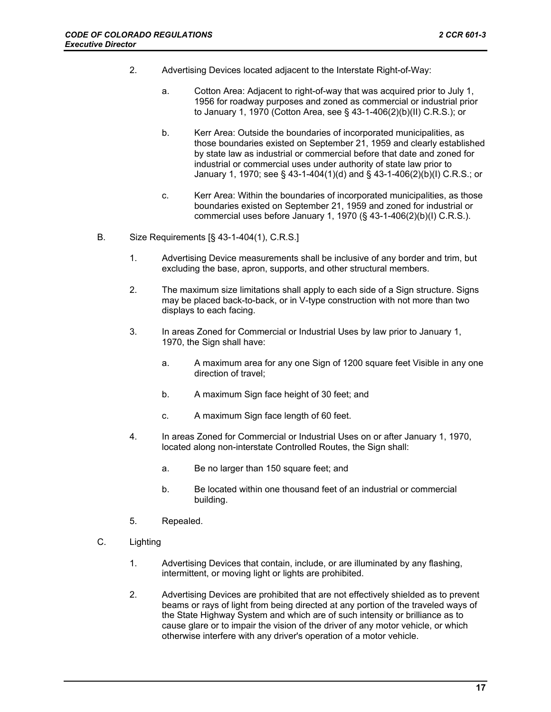- 2. Advertising Devices located adjacent to the Interstate Right-of-Way:
	- a. Cotton Area: Adjacent to right-of-way that was acquired prior to July 1, 1956 for roadway purposes and zoned as commercial or industrial prior to January 1, 1970 (Cotton Area, see § 43-1-406(2)(b)(II) C.R.S.); or
	- b. Kerr Area: Outside the boundaries of incorporated municipalities, as those boundaries existed on September 21, 1959 and clearly established by state law as industrial or commercial before that date and zoned for industrial or commercial uses under authority of state law prior to January 1, 1970; see § 43-1-404(1)(d) and § 43-1-406(2)(b)(I) C.R.S.; or
	- c. Kerr Area: Within the boundaries of incorporated municipalities, as those boundaries existed on September 21, 1959 and zoned for industrial or commercial uses before January 1, 1970 (§ 43-1-406(2)(b)(I) C.R.S.).
- B. Size Requirements [§ 43-1-404(1), C.R.S.]
	- 1. Advertising Device measurements shall be inclusive of any border and trim, but excluding the base, apron, supports, and other structural members.
	- 2. The maximum size limitations shall apply to each side of a Sign structure. Signs may be placed back-to-back, or in V-type construction with not more than two displays to each facing.
	- 3. In areas Zoned for Commercial or Industrial Uses by law prior to January 1, 1970, the Sign shall have:
		- a. A maximum area for any one Sign of 1200 square feet Visible in any one direction of travel;
		- b. A maximum Sign face height of 30 feet; and
		- c. A maximum Sign face length of 60 feet.
	- 4. In areas Zoned for Commercial or Industrial Uses on or after January 1, 1970, located along non-interstate Controlled Routes, the Sign shall:
		- a. Be no larger than 150 square feet; and
		- b. Be located within one thousand feet of an industrial or commercial building.
	- 5. Repealed.
- C. Lighting
	- 1. Advertising Devices that contain, include, or are illuminated by any flashing, intermittent, or moving light or lights are prohibited.
	- 2. Advertising Devices are prohibited that are not effectively shielded as to prevent beams or rays of light from being directed at any portion of the traveled ways of the State Highway System and which are of such intensity or brilliance as to cause glare or to impair the vision of the driver of any motor vehicle, or which otherwise interfere with any driver's operation of a motor vehicle.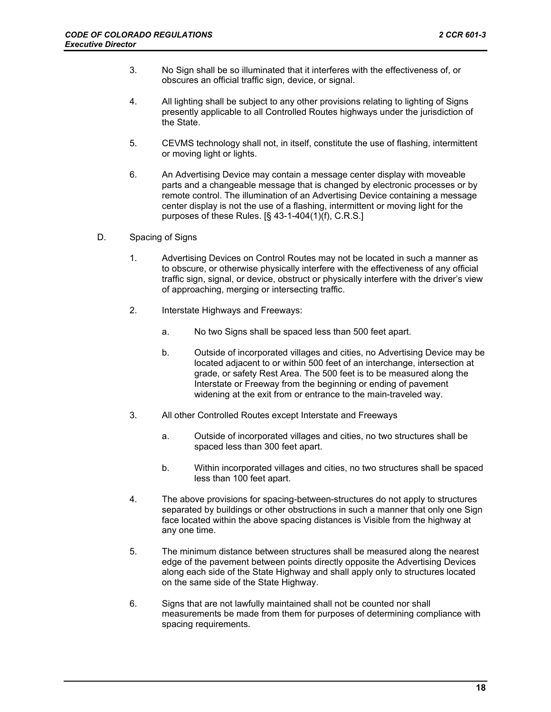- 3. No Sign shall be so illuminated that it interferes with the effectiveness of, or obscures an official traffic sign, device, or signal.
- 4. All lighting shall be subject to any other provisions relating to lighting of Signs presently applicable to all Controlled Routes highways under the jurisdiction of the State.
- 5. CEVMS technology shall not, in itself, constitute the use of flashing, intermittent or moving light or lights.
- 6. An Advertising Device may contain a message center display with moveable parts and a changeable message that is changed by electronic processes or by remote control. The illumination of an Advertising Device containing a message center display is not the use of a flashing, intermittent or moving light for the purposes of these Rules. [§ 43-1-404(1)(f), C.R.S.]
- D. Spacing of Signs
	- 1. Advertising Devices on Control Routes may not be located in such a manner as to obscure, or otherwise physically interfere with the effectiveness of any official traffic sign, signal, or device, obstruct or physically interfere with the driver's view of approaching, merging or intersecting traffic.
	- 2. Interstate Highways and Freeways:
		- a. No two Signs shall be spaced less than 500 feet apart.
		- b. Outside of incorporated villages and cities, no Advertising Device may be located adjacent to or within 500 feet of an interchange, intersection at grade, or safety Rest Area. The 500 feet is to be measured along the Interstate or Freeway from the beginning or ending of pavement widening at the exit from or entrance to the main-traveled way.
	- 3. All other Controlled Routes except Interstate and Freeways
		- a. Outside of incorporated villages and cities, no two structures shall be spaced less than 300 feet apart.
		- b. Within incorporated villages and cities, no two structures shall be spaced less than 100 feet apart.
	- 4. The above provisions for spacing-between-structures do not apply to structures separated by buildings or other obstructions in such a manner that only one Sign face located within the above spacing distances is Visible from the highway at any one time.
	- 5. The minimum distance between structures shall be measured along the nearest edge of the pavement between points directly opposite the Advertising Devices along each side of the State Highway and shall apply only to structures located on the same side of the State Highway.
	- 6. Signs that are not lawfully maintained shall not be counted nor shall measurements be made from them for purposes of determining compliance with spacing requirements.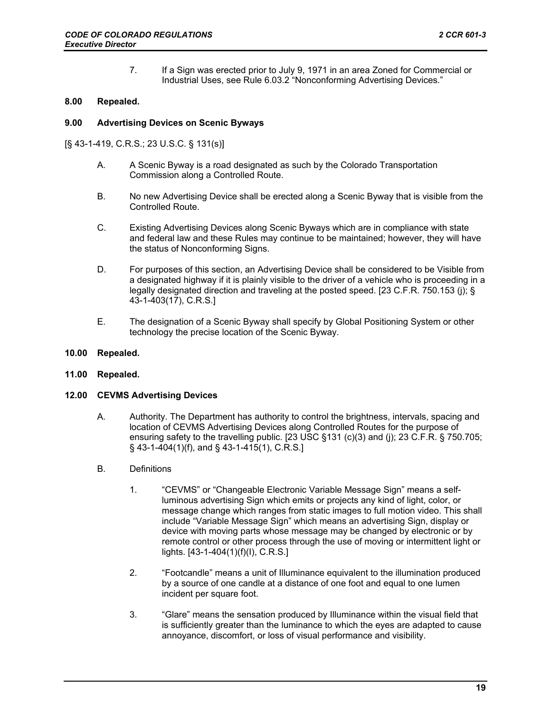7. If a Sign was erected prior to July 9, 1971 in an area Zoned for Commercial or Industrial Uses, see Rule 6.03.2 "Nonconforming Advertising Devices."

## **8.00 Repealed.**

#### **9.00 Advertising Devices on Scenic Byways**

### [§ 43-1-419, C.R.S.; 23 U.S.C. § 131(s)]

- A. A Scenic Byway is a road designated as such by the Colorado Transportation Commission along a Controlled Route.
- B. No new Advertising Device shall be erected along a Scenic Byway that is visible from the Controlled Route.
- C. Existing Advertising Devices along Scenic Byways which are in compliance with state and federal law and these Rules may continue to be maintained; however, they will have the status of Nonconforming Signs.
- D. For purposes of this section, an Advertising Device shall be considered to be Visible from a designated highway if it is plainly visible to the driver of a vehicle who is proceeding in a legally designated direction and traveling at the posted speed. [23 C.F.R. 750.153 (j); § 43-1-403(17), C.R.S.]
- E. The designation of a Scenic Byway shall specify by Global Positioning System or other technology the precise location of the Scenic Byway.

#### **10.00 Repealed.**

## **11.00 Repealed.**

#### **12.00 CEVMS Advertising Devices**

- A. Authority. The Department has authority to control the brightness, intervals, spacing and location of CEVMS Advertising Devices along Controlled Routes for the purpose of ensuring safety to the travelling public. [23 USC §131 (c)(3) and (j); 23 C.F.R. § 750.705; § 43-1-404(1)(f), and § 43-1-415(1), C.R.S.]
- B. Definitions
	- 1. "CEVMS" or "Changeable Electronic Variable Message Sign" means a selfluminous advertising Sign which emits or projects any kind of light, color, or message change which ranges from static images to full motion video. This shall include "Variable Message Sign" which means an advertising Sign, display or device with moving parts whose message may be changed by electronic or by remote control or other process through the use of moving or intermittent light or lights. [43-1-404(1)(f)(I), C.R.S.]
	- 2. "Footcandle" means a unit of Illuminance equivalent to the illumination produced by a source of one candle at a distance of one foot and equal to one lumen incident per square foot.
	- 3. "Glare" means the sensation produced by Illuminance within the visual field that is sufficiently greater than the luminance to which the eyes are adapted to cause annoyance, discomfort, or loss of visual performance and visibility.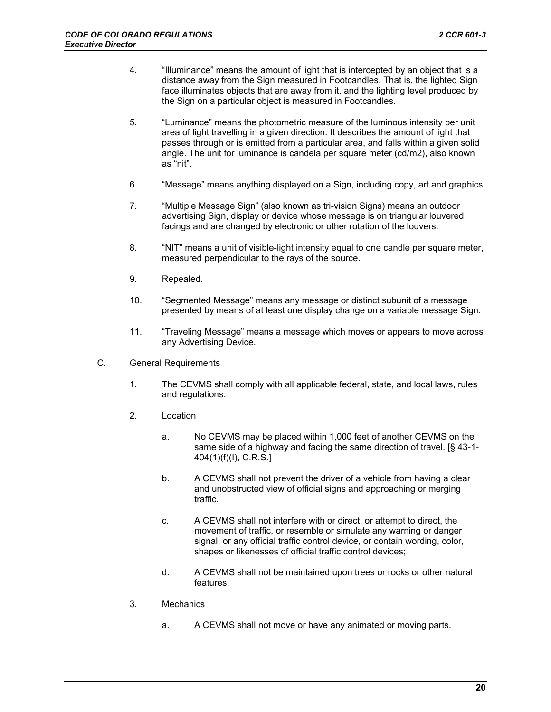- 4. "Illuminance" means the amount of light that is intercepted by an object that is a distance away from the Sign measured in Footcandles. That is, the lighted Sign face illuminates objects that are away from it, and the lighting level produced by the Sign on a particular object is measured in Footcandles.
- 5. "Luminance" means the photometric measure of the luminous intensity per unit area of light travelling in a given direction. It describes the amount of light that passes through or is emitted from a particular area, and falls within a given solid angle. The unit for luminance is candela per square meter (cd/m2), also known as "nit".
- 6. "Message" means anything displayed on a Sign, including copy, art and graphics.
- 7. "Multiple Message Sign" (also known as tri-vision Signs) means an outdoor advertising Sign, display or device whose message is on triangular louvered facings and are changed by electronic or other rotation of the louvers.
- 8. "NIT" means a unit of visible-light intensity equal to one candle per square meter, measured perpendicular to the rays of the source.
- 9. Repealed.
- 10. "Segmented Message" means any message or distinct subunit of a message presented by means of at least one display change on a variable message Sign.
- 11. "Traveling Message" means a message which moves or appears to move across any Advertising Device.
- C. General Requirements
	- 1. The CEVMS shall comply with all applicable federal, state, and local laws, rules and regulations.
	- 2. Location
		- a. No CEVMS may be placed within 1,000 feet of another CEVMS on the same side of a highway and facing the same direction of travel. [§ 43-1- 404(1)(f)(I), C.R.S.]
		- b. A CEVMS shall not prevent the driver of a vehicle from having a clear and unobstructed view of official signs and approaching or merging traffic.
		- c. A CEVMS shall not interfere with or direct, or attempt to direct, the movement of traffic, or resemble or simulate any warning or danger signal, or any official traffic control device, or contain wording, color, shapes or likenesses of official traffic control devices;
		- d. A CEVMS shall not be maintained upon trees or rocks or other natural features.
	- 3. Mechanics
		- a. A CEVMS shall not move or have any animated or moving parts.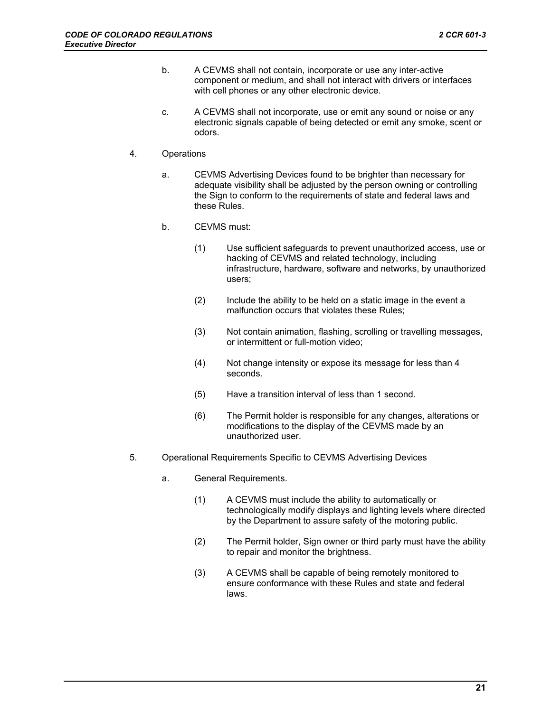- b. A CEVMS shall not contain, incorporate or use any inter-active component or medium, and shall not interact with drivers or interfaces with cell phones or any other electronic device.
- c. A CEVMS shall not incorporate, use or emit any sound or noise or any electronic signals capable of being detected or emit any smoke, scent or odors.

# 4. Operations

- a. CEVMS Advertising Devices found to be brighter than necessary for adequate visibility shall be adjusted by the person owning or controlling the Sign to conform to the requirements of state and federal laws and these Rules.
- b. CEVMS must:
	- (1) Use sufficient safeguards to prevent unauthorized access, use or hacking of CEVMS and related technology, including infrastructure, hardware, software and networks, by unauthorized users;
	- (2) Include the ability to be held on a static image in the event a malfunction occurs that violates these Rules;
	- (3) Not contain animation, flashing, scrolling or travelling messages, or intermittent or full-motion video;
	- (4) Not change intensity or expose its message for less than 4 seconds.
	- (5) Have a transition interval of less than 1 second.
	- (6) The Permit holder is responsible for any changes, alterations or modifications to the display of the CEVMS made by an unauthorized user.
- 5. Operational Requirements Specific to CEVMS Advertising Devices
	- a. General Requirements.
		- (1) A CEVMS must include the ability to automatically or technologically modify displays and lighting levels where directed by the Department to assure safety of the motoring public.
		- (2) The Permit holder, Sign owner or third party must have the ability to repair and monitor the brightness.
		- (3) A CEVMS shall be capable of being remotely monitored to ensure conformance with these Rules and state and federal laws.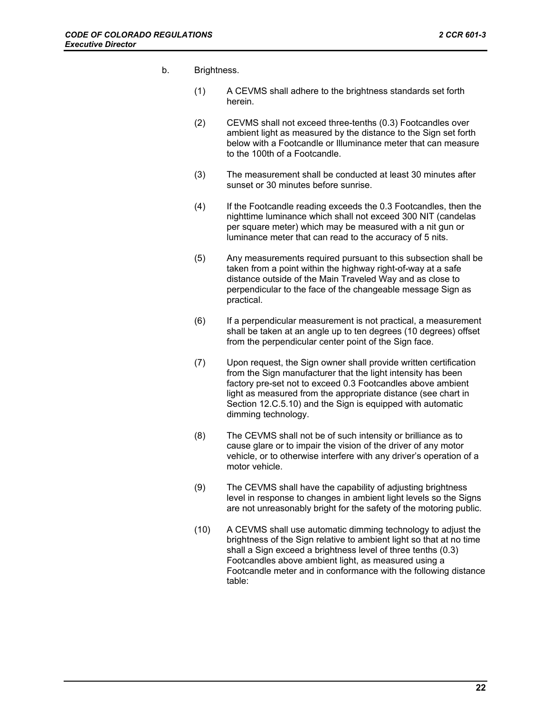- b. Brightness.
	- (1) A CEVMS shall adhere to the brightness standards set forth herein.
	- (2) CEVMS shall not exceed three-tenths (0.3) Footcandles over ambient light as measured by the distance to the Sign set forth below with a Footcandle or Illuminance meter that can measure to the 100th of a Footcandle.
	- (3) The measurement shall be conducted at least 30 minutes after sunset or 30 minutes before sunrise.
	- (4) If the Footcandle reading exceeds the 0.3 Footcandles, then the nighttime luminance which shall not exceed 300 NIT (candelas per square meter) which may be measured with a nit gun or luminance meter that can read to the accuracy of 5 nits.
	- (5) Any measurements required pursuant to this subsection shall be taken from a point within the highway right-of-way at a safe distance outside of the Main Traveled Way and as close to perpendicular to the face of the changeable message Sign as practical.
	- (6) If a perpendicular measurement is not practical, a measurement shall be taken at an angle up to ten degrees (10 degrees) offset from the perpendicular center point of the Sign face.
	- (7) Upon request, the Sign owner shall provide written certification from the Sign manufacturer that the light intensity has been factory pre-set not to exceed 0.3 Footcandles above ambient light as measured from the appropriate distance (see chart in Section 12.C.5.10) and the Sign is equipped with automatic dimming technology.
	- (8) The CEVMS shall not be of such intensity or brilliance as to cause glare or to impair the vision of the driver of any motor vehicle, or to otherwise interfere with any driver's operation of a motor vehicle.
	- (9) The CEVMS shall have the capability of adjusting brightness level in response to changes in ambient light levels so the Signs are not unreasonably bright for the safety of the motoring public.
	- (10) A CEVMS shall use automatic dimming technology to adjust the brightness of the Sign relative to ambient light so that at no time shall a Sign exceed a brightness level of three tenths (0.3) Footcandles above ambient light, as measured using a Footcandle meter and in conformance with the following distance table: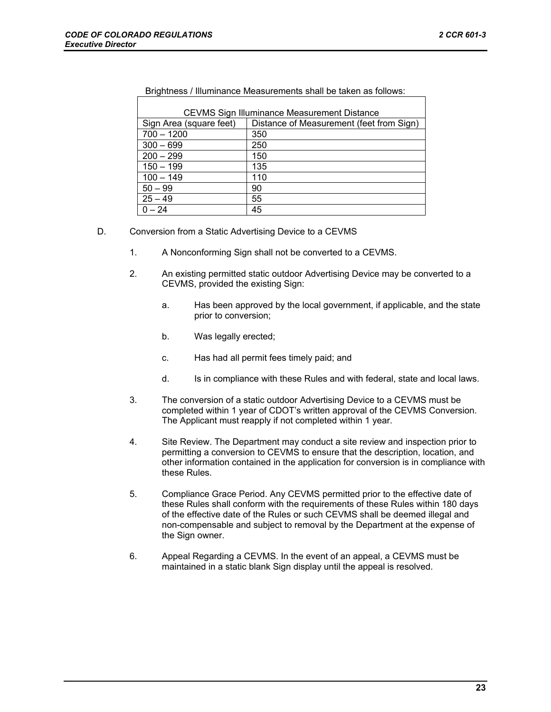| <b>CEVMS Sign Illuminance Measurement Distance</b> |                                          |
|----------------------------------------------------|------------------------------------------|
| Sign Area (square feet)                            | Distance of Measurement (feet from Sign) |
| $700 - 1200$                                       | 350                                      |
| $300 - 699$                                        | 250                                      |
| $200 - 299$                                        | 150                                      |
| $150 - 199$                                        | 135                                      |
| $100 - 149$                                        | 110                                      |
| $50 - 99$                                          | 90                                       |
| $25 - 49$                                          | 55                                       |
| $-24$                                              | 45                                       |

Brightness / Illuminance Measurements shall be taken as follows:

- D. Conversion from a Static Advertising Device to a CEVMS
	- 1. A Nonconforming Sign shall not be converted to a CEVMS.
	- 2. An existing permitted static outdoor Advertising Device may be converted to a CEVMS, provided the existing Sign:
		- a. Has been approved by the local government, if applicable, and the state prior to conversion;
		- b. Was legally erected;
		- c. Has had all permit fees timely paid; and
		- d. Is in compliance with these Rules and with federal, state and local laws.
	- 3. The conversion of a static outdoor Advertising Device to a CEVMS must be completed within 1 year of CDOT's written approval of the CEVMS Conversion. The Applicant must reapply if not completed within 1 year.
	- 4. Site Review. The Department may conduct a site review and inspection prior to permitting a conversion to CEVMS to ensure that the description, location, and other information contained in the application for conversion is in compliance with these Rules.
	- 5. Compliance Grace Period. Any CEVMS permitted prior to the effective date of these Rules shall conform with the requirements of these Rules within 180 days of the effective date of the Rules or such CEVMS shall be deemed illegal and non-compensable and subject to removal by the Department at the expense of the Sign owner.
	- 6. Appeal Regarding a CEVMS. In the event of an appeal, a CEVMS must be maintained in a static blank Sign display until the appeal is resolved.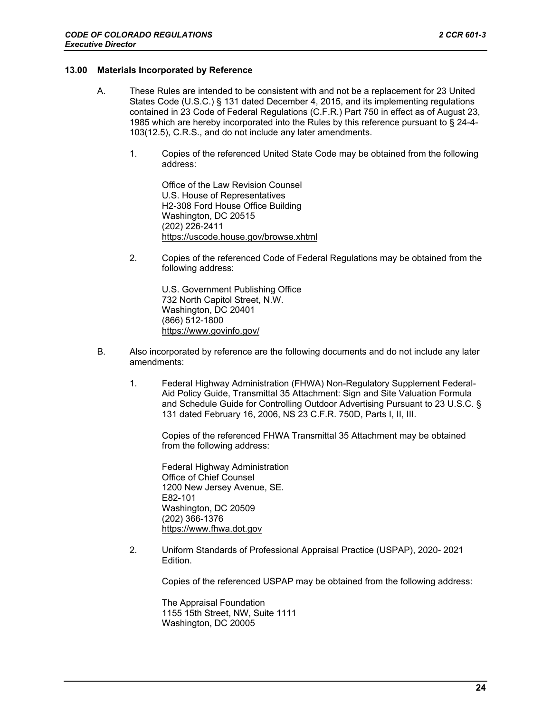#### **13.00 Materials Incorporated by Reference**

- A. These Rules are intended to be consistent with and not be a replacement for 23 United States Code (U.S.C.) § 131 dated December 4, 2015, and its implementing regulations contained in 23 Code of Federal Regulations (C.F.R.) Part 750 in effect as of August 23, 1985 which are hereby incorporated into the Rules by this reference pursuant to § 24-4- 103(12.5), C.R.S., and do not include any later amendments.
	- 1. Copies of the referenced United State Code may be obtained from the following address:

Office of the Law Revision Counsel U.S. House of Representatives H2-308 Ford House Office Building Washington, DC 20515 (202) 226-2411 https://uscode.house.gov/browse.xhtml

2. Copies of the referenced Code of Federal Regulations may be obtained from the following address:

U.S. Government Publishing Office 732 North Capitol Street, N.W. Washington, DC 20401 (866) 512-1800 https://www.govinfo.gov/

- B. Also incorporated by reference are the following documents and do not include any later amendments:
	- 1. Federal Highway Administration (FHWA) Non-Regulatory Supplement Federal-Aid Policy Guide, Transmittal 35 Attachment: Sign and Site Valuation Formula and Schedule Guide for Controlling Outdoor Advertising Pursuant to 23 U.S.C. § 131 dated February 16, 2006, NS 23 C.F.R. 750D, Parts I, II, III.

Copies of the referenced FHWA Transmittal 35 Attachment may be obtained from the following address:

Federal Highway Administration Office of Chief Counsel 1200 New Jersey Avenue, SE. E82-101 Washington, DC 20509 (202) 366-1376 https://www.fhwa.dot.gov

2. Uniform Standards of Professional Appraisal Practice (USPAP), 2020- 2021 Edition.

Copies of the referenced USPAP may be obtained from the following address:

The Appraisal Foundation 1155 15th Street, NW, Suite 1111 Washington, DC 20005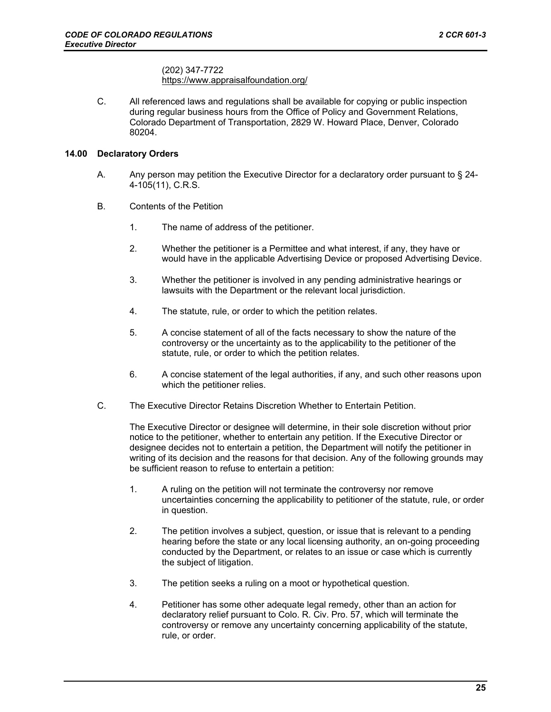(202) 347-7722 https://www.appraisalfoundation.org/

C. All referenced laws and regulations shall be available for copying or public inspection during regular business hours from the Office of Policy and Government Relations, Colorado Department of Transportation, 2829 W. Howard Place, Denver, Colorado 80204.

# **14.00 Declaratory Orders**

- A. Any person may petition the Executive Director for a declaratory order pursuant to § 24- 4-105(11), C.R.S.
- B. Contents of the Petition
	- 1. The name of address of the petitioner.
	- 2. Whether the petitioner is a Permittee and what interest, if any, they have or would have in the applicable Advertising Device or proposed Advertising Device.
	- 3. Whether the petitioner is involved in any pending administrative hearings or lawsuits with the Department or the relevant local jurisdiction.
	- 4. The statute, rule, or order to which the petition relates.
	- 5. A concise statement of all of the facts necessary to show the nature of the controversy or the uncertainty as to the applicability to the petitioner of the statute, rule, or order to which the petition relates.
	- 6. A concise statement of the legal authorities, if any, and such other reasons upon which the petitioner relies.
- C. The Executive Director Retains Discretion Whether to Entertain Petition.

The Executive Director or designee will determine, in their sole discretion without prior notice to the petitioner, whether to entertain any petition. If the Executive Director or designee decides not to entertain a petition, the Department will notify the petitioner in writing of its decision and the reasons for that decision. Any of the following grounds may be sufficient reason to refuse to entertain a petition:

- 1. A ruling on the petition will not terminate the controversy nor remove uncertainties concerning the applicability to petitioner of the statute, rule, or order in question.
- 2. The petition involves a subject, question, or issue that is relevant to a pending hearing before the state or any local licensing authority, an on-going proceeding conducted by the Department, or relates to an issue or case which is currently the subject of litigation.
- 3. The petition seeks a ruling on a moot or hypothetical question.
- 4. Petitioner has some other adequate legal remedy, other than an action for declaratory relief pursuant to Colo. R. Civ. Pro. 57, which will terminate the controversy or remove any uncertainty concerning applicability of the statute, rule, or order.